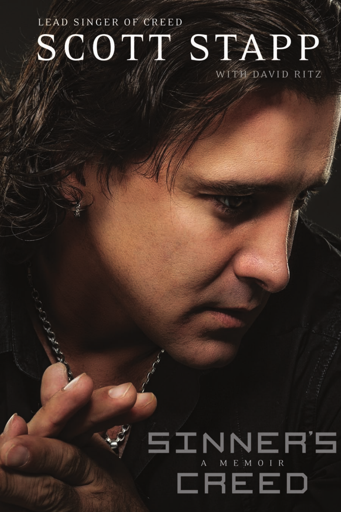### LEAD SINGER OF CREED SCOTTSTAPP WITH DAVID RITZ

# SINNER'S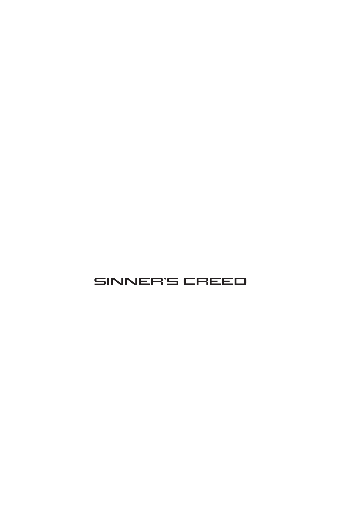### Sinner's Creed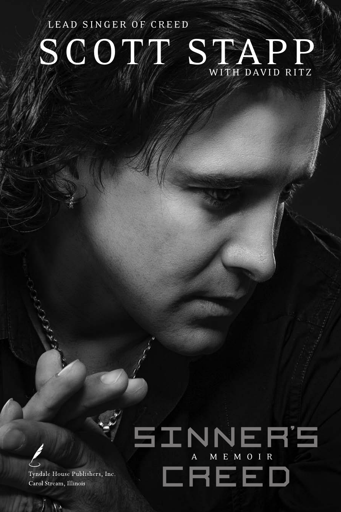### LEAD SINGER OF CREED SCOTT STAPP

Tyndale House Publishers, Inc. Carol Stream, Illinois

## SINNER'S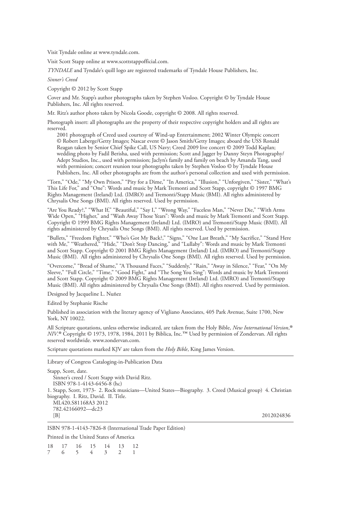Visit Tyndale online at www.tyndale.com.

Visit Scott Stapp online at www.scottstappofficial.com.

*TYNDALE* and Tyndale's quill logo are registered trademarks of Tyndale House Publishers, Inc.

*Sinner's Creed*

Copyright © 2012 by Scott Stapp

Cover and Mr. Stapp's author photographs taken by Stephen Vosloo. Copyright © by Tyndale House Publishers, Inc. All rights reserved.

Mr. Ritz's author photo taken by Nicola Goode, copyright © 2008. All rights reserved.

Photograph insert: all photographs are the property of their respective copyright holders and all rights are reserved.

2001 photograph of Creed used courtesy of Wind-up Entertainment; 2002 Winter Olympic concert © Robert Laberge/Getty Images; Nascar event © Jason Smith/Getty Images; aboard the USS Ronald Reagan taken by Senior Chief Spike Call, US Navy; Creed 2009 live concert © 2009 Todd Kaplan; wedding photo by Fadil Berisha, used with permission; Scott and Jagger by Danny Steyn Photography/ Adept Studios, Inc., used with permission; Jaclyn's family and family on beach by Amanda Tang, used with permission; concert reunion tour photographs taken by Stephen Vosloo © by Tyndale House Publishers, Inc. All other photographs are from the author's personal collection and used with permission.

"Torn," "Ode," "My Own Prison," "Pity for a Dime," "In America," "Illusion," "Unforgiven," "Sister," "What's This Life For," and "One": Words and music by Mark Tremonti and Scott Stapp, copyright © 1997 BMG Rights Management (Ireland) Ltd. (IMRO) and Tremonti/Stapp Music (BMI). All rights administered by Chrysalis One Songs (BMI). All rights reserved. Used by permission.

"Are You Ready?," "What If," "Beautiful," "Say I," "Wrong Way," "Faceless Man," "Never Die," "With Arms Wide Open," "Higher," and "Wash Away Those Years": Words and music by Mark Tremonti and Scott Stapp. Copyright © 1999 BMG Rights Management (Ireland) Ltd. (IMRO) and Tremonti/Stapp Music (BMI). All rights administered by Chrysalis One Songs (BMI). All rights reserved. Used by permission.

"Bullets," "Freedom Fighter," "Who's Got My Back?," "Signs," "One Last Breath," "My Sacrifice," "Stand Here with Me," "Weathered," "Hide," "Don't Stop Dancing," and "Lullaby": Words and music by Mark Tremonti and Scott Stapp. Copyright © 2001 BMG Rights Management (Ireland) Ltd. (IMRO) and Tremonti/Stapp Music (BMI). All rights administered by Chrysalis One Songs (BMI). All rights reserved. Used by permission.

"Overcome," "Bread of Shame," "A Thousand Faces," "Suddenly," "Rain," "Away in Silence," "Fear," "On My<br>Sleeve," "Full Circle," "Time," "Good Fight," and "The Song You Sing": Words and music by Mark Tremonti<br>and Scott Stap Music (BMI). All rights administered by Chrysalis One Songs (BMI). All rights reserved. Used by permission.

Designed by Jacqueline L. Nuñez

Edited by Stephanie Rische

Published in association with the literary agency of Vigliano Associates, 405 Park Avenue, Suite 1700, New York, NY 10022.

All Scripture quotations, unless otherwise indicated, are taken from the Holy Bible, *New International Version*, All Scripture quotations, unless otherwise indicated, are taken from the Holy Bible, *New International Version,®*<br>MIV.® Copyright © 1973, 1978, 1984, 2011 by Biblica, Inc.™ Used by permission of Zondervan. All rights<br>rec reserved worldwide. www.zondervan.com.

Scripture quotations marked KJV are taken from the *Holy Bible*, King James Version.

Library of Congress Cataloging-in-Publication Data Stapp, Scott, date. Sinner's creed / Scott Stapp with David Ritz. ISBN 978-1-4143-6456-8 (hc) 1. Stapp, Scott, 1973- 2. Rock musicians—United States—Biography. 3. Creed (Musical group) 4. Christian biography. I. Ritz, David. II. Title. ML420.S81168A3 2012 782.42166092—dc23 [B] 2012024836

ISBN 978-1-4143-7826-8 (International Trade Paper Edition)

Printed in the United States of America

|  |  | 18 17 16 15 14 13 12 |  |
|--|--|----------------------|--|
|  |  | 7 6 5 4 3 2 1        |  |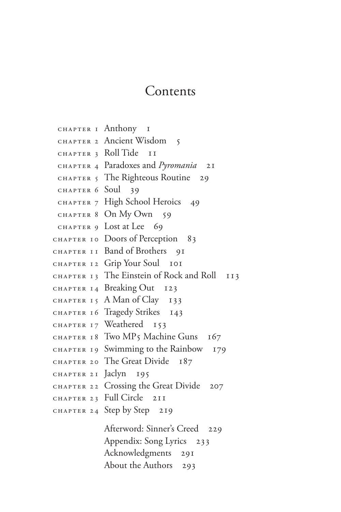#### Contents

CHAPTER I Anthony I CHAPTER 2 Ancient Wisdom 5 Chapter 3 Roll Tide 11 CHAPTER 4 Paradoxes and *Pyromania* 21 CHAPTER  $5$  The Righteous Routine 29 Chapter 6 Soul 39 CHAPTER 7 High School Heroics 49 CHAPTER 8 On My Own 59 CHAPTER 9 Lost at Lee 69 CHAPTER 10 Doors of Perception 83 CHAPTER II Band of Brothers 91 CHAPTER 12 Grip Your Soul 101 CHAPTER 13 The Einstein of Rock and Roll 113 CHAPTER 14 Breaking Out 123 CHAPTER 15 A Man of Clay 133 CHAPTER 16 Tragedy Strikes 143 CHAPTER 17 Weathered 153 CHAPTER 18 Two MP5 Machine Guns 167 CHAPTER 19 Swimming to the Rainbow 179 CHAPTER 20 The Great Divide 187 Chapter 21 Jaclyn 195 CHAPTER 22 Crossing the Great Divide 207 Chapter 23 Full Circle 211 CHAPTER 24 Step by Step 219 Afterword: Sinner's Creed 229 Appendix: Song Lyrics 233 Acknowledgments 291 About the Authors 293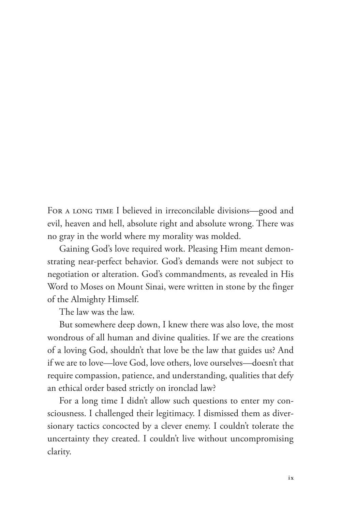FOR A LONG TIME I believed in irreconcilable divisions—good and evil, heaven and hell, absolute right and absolute wrong. There was no gray in the world where my morality was molded.

Gaining God's love required work. Pleasing Him meant demonstrating near-perfect behavior. God's demands were not subject to negotiation or alteration. God's commandments, as revealed in His Word to Moses on Mount Sinai, were written in stone by the finger of the Almighty Himself.

The law was the law.

But somewhere deep down, I knew there was also love, the most wondrous of all human and divine qualities. If we are the creations of a loving God, shouldn't that love be the law that guides us? And if we are to love—love God, love others, love ourselves—doesn't that require compassion, patience, and understanding, qualities that defy an ethical order based strictly on ironclad law?

For a long time I didn't allow such questions to enter my consciousness. I challenged their legitimacy. I dismissed them as diversionary tactics concocted by a clever enemy. I couldn't tolerate the uncertainty they created. I couldn't live without uncompromising clarity.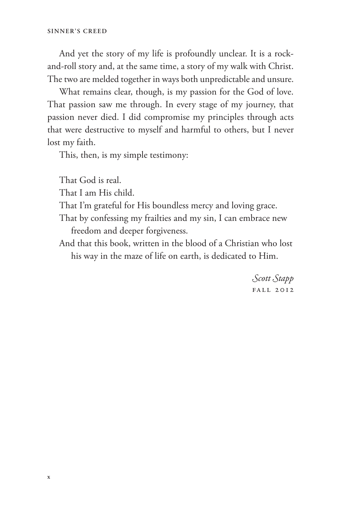And yet the story of my life is profoundly unclear. It is a rockand-roll story and, at the same time, a story of my walk with Christ. The two are melded together in ways both unpredictable and unsure.

What remains clear, though, is my passion for the God of love. That passion saw me through. In every stage of my journey, that passion never died. I did compromise my principles through acts that were destructive to myself and harmful to others, but I never lost my faith.

This, then, is my simple testimony:

That God is real.

That I am His child.

That I'm grateful for His boundless mercy and loving grace.

That by confessing my frailties and my sin, I can embrace new freedom and deeper forgiveness.

And that this book, written in the blood of a Christian who lost his way in the maze of life on earth, is dedicated to Him.

> *Scott Stapp* Fall 2012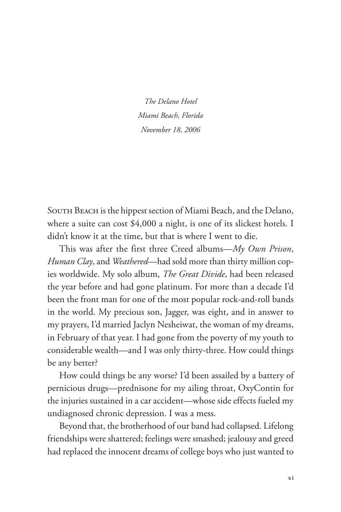*The Delano Hotel Miami Beach, Florida November 18, 2006*

SOUTH BEACH is the hippest section of Miami Beach, and the Delano, where a suite can cost \$4,000 a night, is one of its slickest hotels. I didn't know it at the time, but that is where I went to die.

This was after the first three Creed albums—*My Own Prison*, *Human Clay*, and *Weathered*—had sold more than thirty million copies worldwide. My solo album, *The Great Divide*, had been released the year before and had gone platinum. For more than a decade I'd been the front man for one of the most popular rock-and-roll bands in the world. My precious son, Jagger, was eight, and in answer to my prayers, I'd married Jaclyn Nesheiwat, the woman of my dreams, in February of that year. I had gone from the poverty of my youth to considerable wealth—and I was only thirty-three. How could things be any better?

How could things be any worse? I'd been assailed by a battery of pernicious drugs—prednisone for my ailing throat, OxyContin for the injuries sustained in a car accident—whose side effects fueled my undiagnosed chronic depression. I was a mess.

Beyond that, the brotherhood of our band had collapsed. Lifelong friendships were shattered; feelings were smashed; jealousy and greed had replaced the innocent dreams of college boys who just wanted to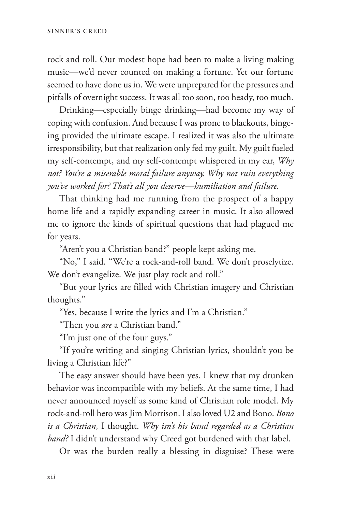rock and roll. Our modest hope had been to make a living making music—we'd never counted on making a fortune. Yet our fortune seemed to have done us in. We were unprepared for the pressures and pitfalls of overnight success. It was all too soon, too heady, too much.

Drinking—especially binge drinking—had become my way of coping with confusion. And because I was prone to blackouts, bingeing provided the ultimate escape. I realized it was also the ultimate irresponsibility, but that realization only fed my guilt. My guilt fueled my self-contempt, and my self-contempt whispered in my ear, *Why not? You're a miserable moral failure anyway. Why not ruin everything you've worked for? That's all you deserve—humiliation and failure.*

That thinking had me running from the prospect of a happy home life and a rapidly expanding career in music. It also allowed me to ignore the kinds of spiritual questions that had plagued me for years.

"Aren't you a Christian band?" people kept asking me.

"No," I said. "We're a rock-and-roll band. We don't proselytize. We don't evangelize. We just play rock and roll."

"But your lyrics are filled with Christian imagery and Christian thoughts."

"Yes, because I write the lyrics and I'm a Christian."

"Then you *are* a Christian band."

"I'm just one of the four guys."

"If you're writing and singing Christian lyrics, shouldn't you be living a Christian life?"

The easy answer should have been yes. I knew that my drunken behavior was incompatible with my beliefs. At the same time, I had never announced myself as some kind of Christian role model. My rock-and-roll hero was Jim Morrison. I also loved U2 and Bono. *Bono is a Christian,* I thought. *Why isn't his band regarded as a Christian band?* I didn't understand why Creed got burdened with that label.

Or was the burden really a blessing in disguise? These were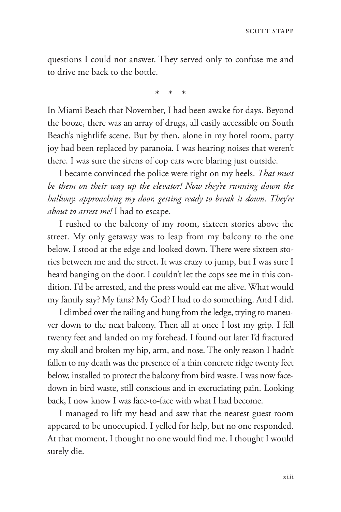questions I could not answer. They served only to confuse me and to drive me back to the bottle.

\*\*\*

In Miami Beach that November, I had been awake for days. Beyond the booze, there was an array of drugs, all easily accessible on South Beach's nightlife scene. But by then, alone in my hotel room, party joy had been replaced by paranoia. I was hearing noises that weren't there. I was sure the sirens of cop cars were blaring just outside.

I became convinced the police were right on my heels. *That must be them on their way up the elevator! Now they're running down the hallway, approaching my door, getting ready to break it down. They're about to arrest me!* I had to escape.

I rushed to the balcony of my room, sixteen stories above the street. My only getaway was to leap from my balcony to the one below. I stood at the edge and looked down. There were sixteen stories between me and the street. It was crazy to jump, but I was sure I heard banging on the door. I couldn't let the cops see me in this condition. I'd be arrested, and the press would eat me alive. What would my family say? My fans? My God? I had to do something. And I did.

I climbed over the railing and hung from the ledge, trying to maneuver down to the next balcony. Then all at once I lost my grip. I fell twenty feet and landed on my forehead. I found out later I'd fractured my skull and broken my hip, arm, and nose. The only reason I hadn't fallen to my death was the presence of a thin concrete ridge twenty feet below, installed to protect the balcony from bird waste. I was now facedown in bird waste, still conscious and in excruciating pain. Looking back, I now know I was face-to-face with what I had become.

I managed to lift my head and saw that the nearest guest room appeared to be unoccupied. I yelled for help, but no one responded. At that moment, I thought no one would find me. I thought I would surely die.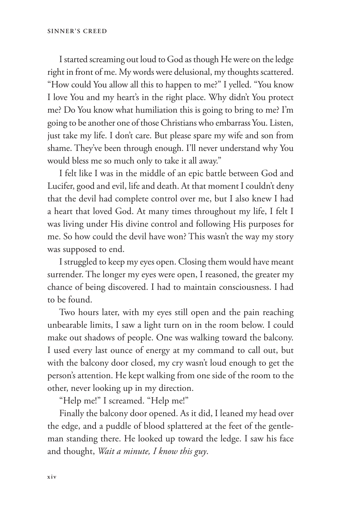I started screaming out loud to God as though He were on the ledge right in front of me. My words were delusional, my thoughts scattered. "How could You allow all this to happen to me?" I yelled. "You know I love You and my heart's in the right place. Why didn't You protect me? Do You know what humiliation this is going to bring to me? I'm going to be another one of those Christians who embarrass You. Listen, just take my life. I don't care. But please spare my wife and son from shame. They've been through enough. I'll never understand why You would bless me so much only to take it all away."

I felt like I was in the middle of an epic battle between God and Lucifer, good and evil, life and death. At that moment I couldn't deny that the devil had complete control over me, but I also knew I had a heart that loved God. At many times throughout my life, I felt I was living under His divine control and following His purposes for me. So how could the devil have won? This wasn't the way my story was supposed to end.

I struggled to keep my eyes open. Closing them would have meant surrender. The longer my eyes were open, I reasoned, the greater my chance of being discovered. I had to maintain consciousness. I had to be found.

Two hours later, with my eyes still open and the pain reaching unbearable limits, I saw a light turn on in the room below. I could make out shadows of people. One was walking toward the balcony. I used every last ounce of energy at my command to call out, but with the balcony door closed, my cry wasn't loud enough to get the person's attention. He kept walking from one side of the room to the other, never looking up in my direction.

"Help me!" I screamed. "Help me!"

Finally the balcony door opened. As it did, I leaned my head over the edge, and a puddle of blood splattered at the feet of the gentleman standing there. He looked up toward the ledge. I saw his face and thought, *Wait a minute, I know this guy*.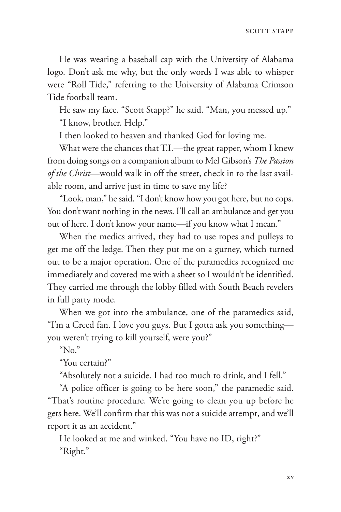He was wearing a baseball cap with the University of Alabama logo. Don't ask me why, but the only words I was able to whisper were "Roll Tide," referring to the University of Alabama Crimson Tide football team.

He saw my face. "Scott Stapp?" he said. "Man, you messed up." "I know, brother. Help."

I then looked to heaven and thanked God for loving me.

What were the chances that T.I.—the great rapper, whom I knew from doing songs on a companion album to Mel Gibson's *The Passion of the Christ*—would walk in off the street, check in to the last available room, and arrive just in time to save my life?

"Look, man," he said. "I don't know how you got here, but no cops. You don't want nothing in the news. I'll call an ambulance and get you out of here. I don't know your name—if you know what I mean."

When the medics arrived, they had to use ropes and pulleys to get me off the ledge. Then they put me on a gurney, which turned out to be a major operation. One of the paramedics recognized me immediately and covered me with a sheet so I wouldn't be identified. They carried me through the lobby filled with South Beach revelers in full party mode.

When we got into the ambulance, one of the paramedics said, "I'm a Creed fan. I love you guys. But I gotta ask you something you weren't trying to kill yourself, were you?"

" $N_0$ "

"You certain?"

"Absolutely not a suicide. I had too much to drink, and I fell."

"A police officer is going to be here soon," the paramedic said. "That's routine procedure. We're going to clean you up before he gets here. We'll confirm that this was not a suicide attempt, and we'll report it as an accident."

He looked at me and winked. "You have no ID, right?" "Right."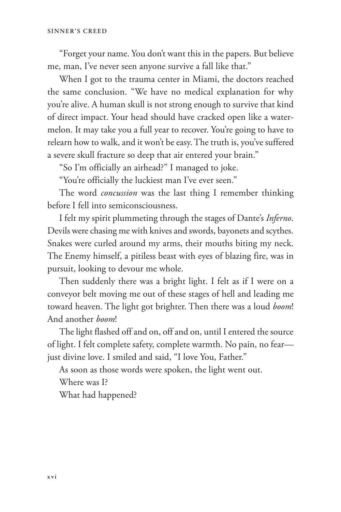"Forget your name. You don't want this in the papers. But believe me, man, I've never seen anyone survive a fall like that."

When I got to the trauma center in Miami, the doctors reached the same conclusion. "We have no medical explanation for why you're alive. A human skull is not strong enough to survive that kind of direct impact. Your head should have cracked open like a watermelon. It may take you a full year to recover. You're going to have to relearn how to walk, and it won't be easy. The truth is, you've suffered a severe skull fracture so deep that air entered your brain."

"So I'm officially an airhead?" I managed to joke.

"You're officially the luckiest man I've ever seen."

The word *concussion* was the last thing I remember thinking before I fell into semiconsciousness.

I felt my spirit plummeting through the stages of Dante's *Inferno*. Devils were chasing me with knives and swords, bayonets and scythes. Snakes were curled around my arms, their mouths biting my neck. The Enemy himself, a pitiless beast with eyes of blazing fire, was in pursuit, looking to devour me whole.

Then suddenly there was a bright light. I felt as if I were on a conveyor belt moving me out of these stages of hell and leading me toward heaven. The light got brighter. Then there was a loud *boom*! And another *boom*!

The light flashed off and on, off and on, until I entered the source of light. I felt complete safety, complete warmth. No pain, no fear just divine love. I smiled and said, "I love You, Father."

As soon as those words were spoken, the light went out.

Where was I?

What had happened?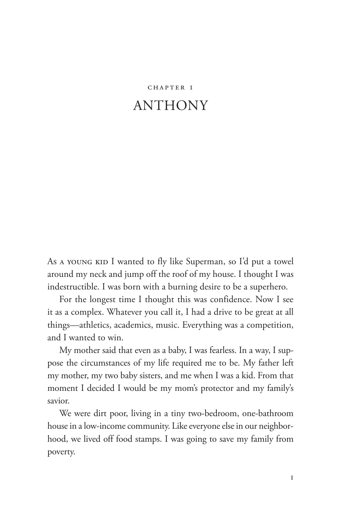#### CHAPTER I

### <span id="page-15-0"></span>**ANTHONY**

As a young kid I wanted to fly like Superman, so I'd put a towel around my neck and jump off the roof of my house. I thought I was indestructible. I was born with a burning desire to be a superhero.

For the longest time I thought this was confidence. Now I see it as a complex. Whatever you call it, I had a drive to be great at all things—athletics, academics, music. Everything was a competition, and I wanted to win.

My mother said that even as a baby, I was fearless. In a way, I suppose the circumstances of my life required me to be. My father left my mother, my two baby sisters, and me when I was a kid. From that moment I decided I would be my mom's protector and my family's savior.

We were dirt poor, living in a tiny two-bedroom, one-bathroom house in a low-income community. Like everyone else in our neighborhood, we lived off food stamps. I was going to save my family from poverty.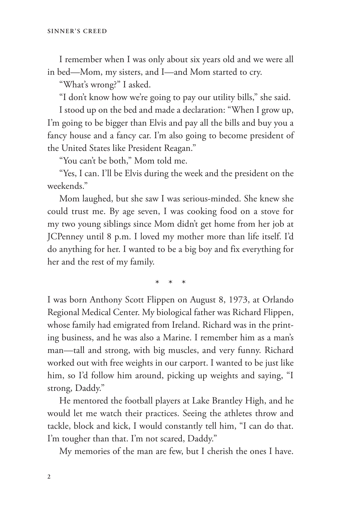I remember when I was only about six years old and we were all in bed—Mom, my sisters, and I—and Mom started to cry.

"What's wrong?" I asked.

"I don't know how we're going to pay our utility bills," she said.

I stood up on the bed and made a declaration: "When I grow up, I'm going to be bigger than Elvis and pay all the bills and buy you a fancy house and a fancy car. I'm also going to become president of the United States like President Reagan."

"You can't be both," Mom told me.

"Yes, I can. I'll be Elvis during the week and the president on the weekends."

Mom laughed, but she saw I was serious-minded. She knew she could trust me. By age seven, I was cooking food on a stove for my two young siblings since Mom didn't get home from her job at JCPenney until 8 p.m. I loved my mother more than life itself. I'd do anything for her. I wanted to be a big boy and fix everything for her and the rest of my family.

\*\*\*

I was born Anthony Scott Flippen on August 8, 1973, at Orlando Regional Medical Center. My biological father was Richard Flippen, whose family had emigrated from Ireland. Richard was in the printing business, and he was also a Marine. I remember him as a man's man—tall and strong, with big muscles, and very funny. Richard worked out with free weights in our carport. I wanted to be just like him, so I'd follow him around, picking up weights and saying, "I strong, Daddy."

He mentored the football players at Lake Brantley High, and he would let me watch their practices. Seeing the athletes throw and tackle, block and kick, I would constantly tell him, "I can do that. I'm tougher than that. I'm not scared, Daddy."

My memories of the man are few, but I cherish the ones I have.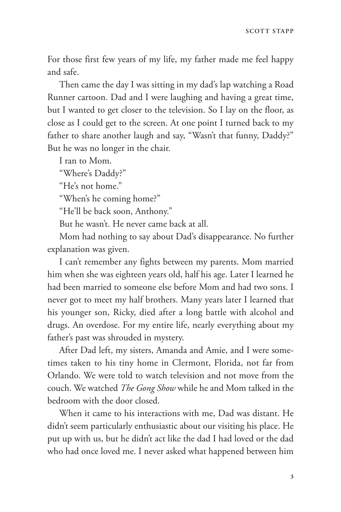For those first few years of my life, my father made me feel happy and safe.

Then came the day I was sitting in my dad's lap watching a Road Runner cartoon. Dad and I were laughing and having a great time, but I wanted to get closer to the television. So I lay on the floor, as close as I could get to the screen. At one point I turned back to my father to share another laugh and say, "Wasn't that funny, Daddy?" But he was no longer in the chair.

I ran to Mom.

"Where's Daddy?"

"He's not home."

"When's he coming home?"

"He'll be back soon, Anthony."

But he wasn't. He never came back at all.

Mom had nothing to say about Dad's disappearance. No further explanation was given.

I can't remember any fights between my parents. Mom married him when she was eighteen years old, half his age. Later I learned he had been married to someone else before Mom and had two sons. I never got to meet my half brothers. Many years later I learned that his younger son, Ricky, died after a long battle with alcohol and drugs. An overdose. For my entire life, nearly everything about my father's past was shrouded in mystery.

After Dad left, my sisters, Amanda and Amie, and I were sometimes taken to his tiny home in Clermont, Florida, not far from Orlando. We were told to watch television and not move from the couch. We watched *The Gong Show* while he and Mom talked in the bedroom with the door closed.

When it came to his interactions with me, Dad was distant. He didn't seem particularly enthusiastic about our visiting his place. He put up with us, but he didn't act like the dad I had loved or the dad who had once loved me. I never asked what happened between him